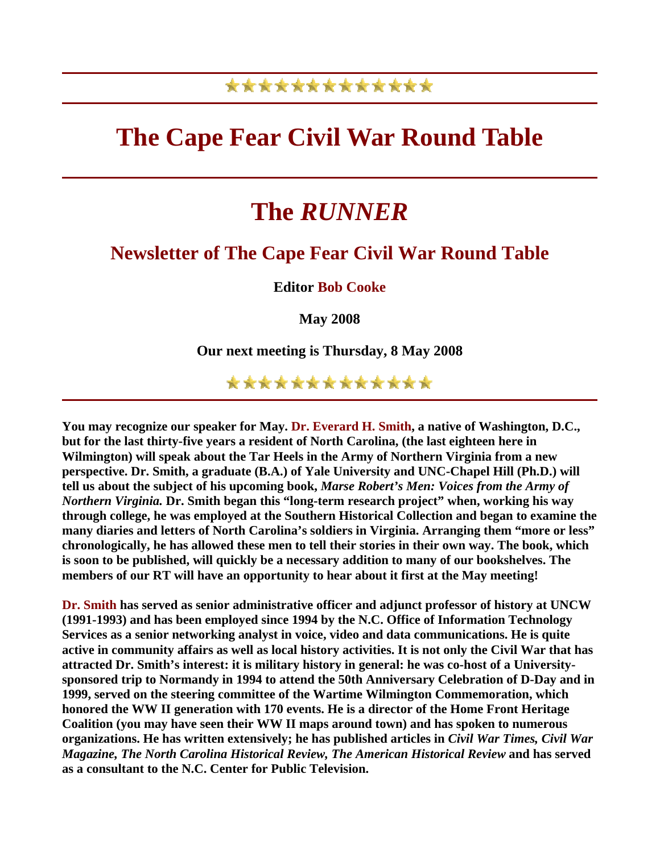## \*\*\*\*\*\*\*\*\*\*\*\*\*

# **The Cape Fear Civil War Round Table**

# **The** *RUNNER*

### **Newsletter of The Cape Fear Civil War Round Table**

**Editor Bob Cooke**

**May 2008** 

**Our next meeting is Thursday, 8 May 2008** 

\*\*\*\*\*\*\*\*\*\*\*\*\*

**You may recognize our speaker for May. Dr. Everard H. Smith, a native of Washington, D.C., but for the last thirty-five years a resident of North Carolina, (the last eighteen here in Wilmington) will speak about the Tar Heels in the Army of Northern Virginia from a new perspective. Dr. Smith, a graduate (B.A.) of Yale University and UNC-Chapel Hill (Ph.D.) will tell us about the subject of his upcoming book,** *Marse Robert's Men: Voices from the Army of Northern Virginia.* **Dr. Smith began this "long-term research project" when, working his way through college, he was employed at the Southern Historical Collection and began to examine the many diaries and letters of North Carolina's soldiers in Virginia. Arranging them "more or less" chronologically, he has allowed these men to tell their stories in their own way. The book, which is soon to be published, will quickly be a necessary addition to many of our bookshelves. The members of our RT will have an opportunity to hear about it first at the May meeting!** 

**Dr. Smith has served as senior administrative officer and adjunct professor of history at UNCW (1991-1993) and has been employed since 1994 by the N.C. Office of Information Technology Services as a senior networking analyst in voice, video and data communications. He is quite active in community affairs as well as local history activities. It is not only the Civil War that has attracted Dr. Smith's interest: it is military history in general: he was co-host of a Universitysponsored trip to Normandy in 1994 to attend the 50th Anniversary Celebration of D-Day and in 1999, served on the steering committee of the Wartime Wilmington Commemoration, which honored the WW II generation with 170 events. He is a director of the Home Front Heritage Coalition (you may have seen their WW II maps around town) and has spoken to numerous organizations. He has written extensively; he has published articles in** *Civil War Times, Civil War Magazine, The North Carolina Historical Review, The American Historical Review* **and has served as a consultant to the N.C. Center for Public Television.**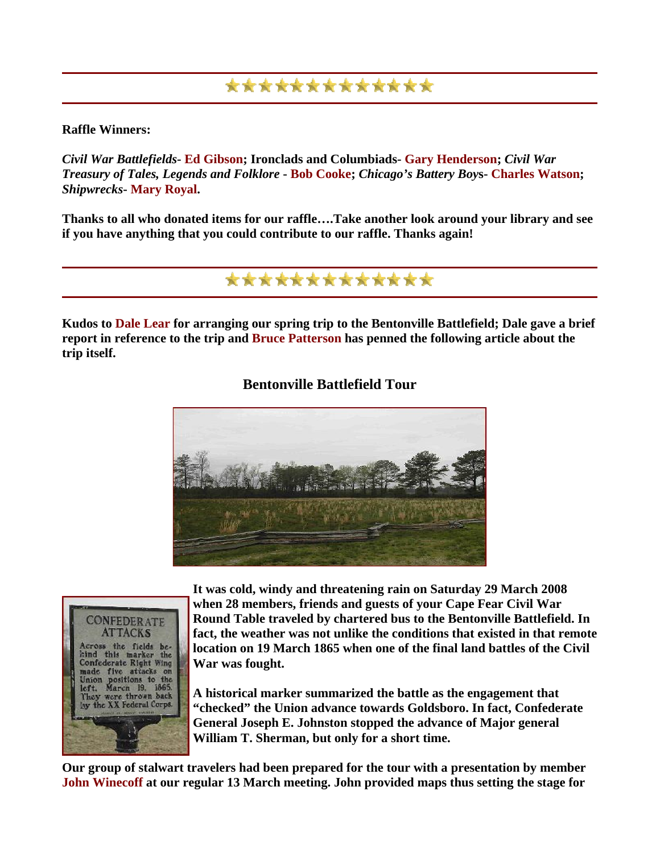## \*\*\*\*\*\*\*\*\*\*\*\*\*

#### **Raffle Winners:**

*Civil War Battlefields***- Ed Gibson; Ironclads and Columbiads- Gary Henderson;** *Civil War Treasury of Tales, Legends and Folklore* **- Bob Cooke;** *Chicago's Battery Boy***s- Charles Watson;**  *Shipwrecks***- Mary Royal.** 

**Thanks to all who donated items for our raffle….Take another look around your library and see if you have anything that you could contribute to our raffle. Thanks again!** 

\*\*\*\*\*\*\*\*\*\*\*\*

**Kudos to Dale Lear for arranging our spring trip to the Bentonville Battlefield; Dale gave a brief report in reference to the trip and Bruce Patterson has penned the following article about the trip itself.** 

#### **Bentonville Battlefield Tour**





**It was cold, windy and threatening rain on Saturday 29 March 2008 when 28 members, friends and guests of your Cape Fear Civil War Round Table traveled by chartered bus to the Bentonville Battlefield. In**  fact, the weather was not unlike the conditions that existed in that remote **location on 19 March 1865 when one of the final land battles of the Civil War was fought.** 

**A historical marker summarized the battle as the engagement that "checked" the Union advance towards Goldsboro. In fact, Confederate General Joseph E. Johnston stopped the advance of Major general William T. Sherman, but only for a short time.** 

**Our group of stalwart t ravelers had been prepared for the tour with a presentation by member John Winecoff at our regular 13 March meeting. John provided maps thus setting the stage for**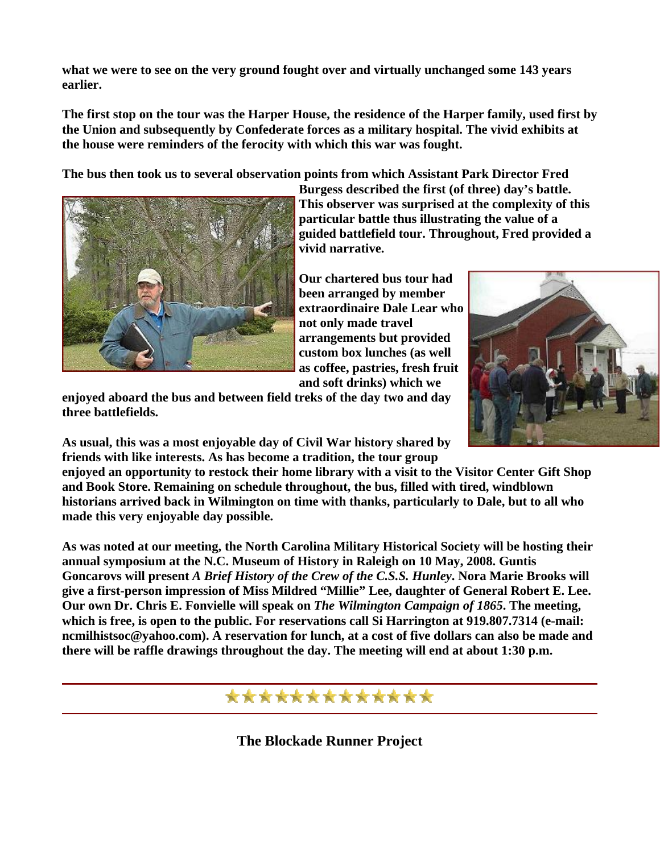what we were to see on the very ground fought over and virtually unchanged some 143 years **earlier.** 

**The first stop on the tour was the Harper House, the residence of the Harper family, used first by the Union and subsequently by Confederate forces as a military hospital. The vivid exhibits at the house were reminders of the ferocity with which this war was fought.** 

**The bus then took us to several observation points from which Assistant Park Director Fred** 



**Burgess described the first (of three) day's battle. This observer was surprised at the complexity of this particular battle thus illustrating the value of a guided battlefield tour. Throughout, Fred provided a vivid narrative.** 

**ho extraordinaire Dale Lear w Our chartered bus tour had been arranged by member not only made travel arrangements but provided custom box lunches (as well as coffee, pastries, fresh fruit and soft drinks) which we** 

**enjoyed aboard the bus and between field treks of the day two and day three battlefields.** 

**As usual, this was a most enjoyable day of Civil War history shared by friends with like interests. As has become a tradition, the tour group** 

**enjoyed an opportunity to restock their home library with a visit to the Visitor Center Gift Shop and Book Store. Remaining on schedule throughout, the bus, filled with tired, windblown historians arrived back in Wilmington on time with thanks, particularly to Dale, but to all who made this very enjoyable day possible.** 

**As was noted at our meeting, the North Carolina Military Historical Society will be hosting their annual symposium at the N.C. Museum of History in Raleigh on 10 May, 2008. Guntis Goncarovs will present** *A Brief History of the Crew of the C.S.S. Hunley***. Nora Marie Brooks will give a first-person impression of Miss Mildred "Millie" Lee, daughter of General Robert E. Lee. Our own Dr. Chris E. Fonvielle will speak on** *The Wilmington Campaign of 1865***. The meeting, which is free, is open to the public. For reservations call Si Harrington at 919.807.7314 (e-mail: ncmilhistsoc@yahoo.com). A reservation for lunch, at a cost of five dollars can also be made and there will be raffle drawings throughout the day. The meeting will end at about 1:30 p.m.** 

\*\*\*\*\*\*\*\*\*\*\*\*\*

**The Blockade Runner Project** 

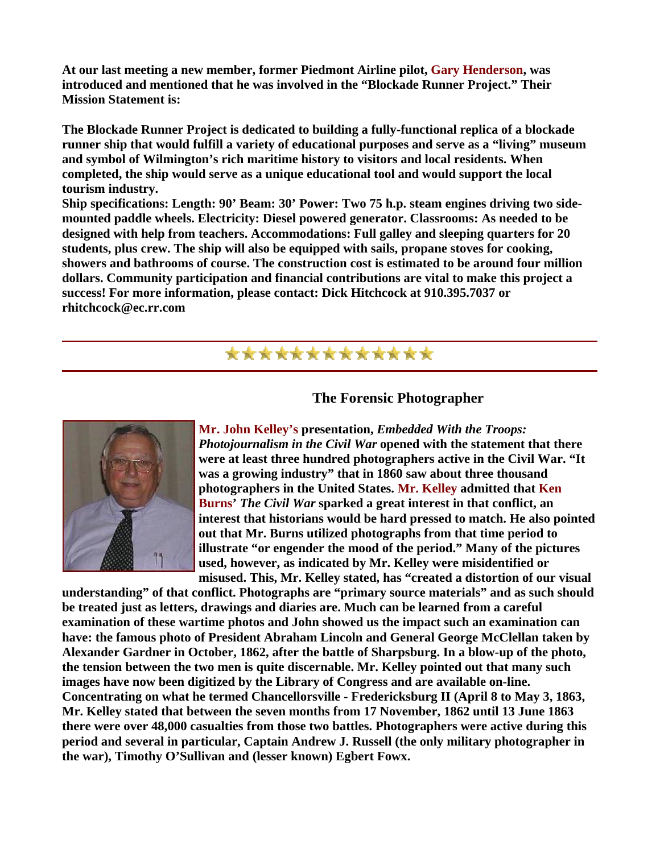**At our last meeting a new member, former Piedmont Airline pilot, Gary Henderson, was introduced and mentioned that he was involved in the "Blockade Runner Project." Their Mission Statement is:** 

**The Blockade Runner Project is dedicated to building a fully-functional replica of a blockade runner ship that would fulfill a variety of educational purposes and serve as a "living" museum and symbol of Wilmington's rich maritime history to visitors and local residents. When completed, the ship would serve as a unique educational tool and would support the local tourism industry.** 

**Ship specifications: Length: 90' Beam: 30' Power: Two 75 h.p. steam engines driving two sidemounted paddle wheels. Electricity: Diesel powered generator. Classrooms: As needed to be designed with help from teachers. Accommodations: Full galley and sleeping quarters for 20 students, plus crew. The ship will also be equipped with sails, propane stoves for cooking, showers and bathrooms of course. The construction cost is estimated to be around four million dollars. Community participation and financial contributions are vital to make this project a success! For more information, please contact: Dick Hitchcock at 910.395.7037 or rhitchcock@ec.rr.com** 

## \*\*\*\*\*\*\*\*\*\*\*\*\*

#### **The Forensic Photographer**



**Mr. John Kelley's presentation,** *Embedded With the Troops: Photojournalism in the Civil War* **opened with the statement that there were at least three hundred photographers active in the Civil War. "It was a growing industry" that in 1860 saw about three thousand photographers in the United States. Mr. Kelley admitted that Ken Burns'** *The Civil War* **sparked a great interest in that conflict, an interest that historians would be hard pressed to match. He also pointed out that Mr. Burns utilized photographs from that time period to illustrate "or engender the mood of the period." Many of the pictures used, however, as indicated by Mr. Kelley were misidentified or misused. This, Mr. Kelley stated, has "created a distortion of our visual** 

**understanding" of that conflict. Photographs are "primary source materials" and as such should be treated just as letters, drawings and diaries are. Much can be learned from a careful examination of these wartime photos and John showed us the impact such an examination can have: the famous photo of President Abraham Lincoln and General George McClellan taken by Alexander Gardner in October, 1862, after the battle of Sharpsburg. In a blow-up of the photo, the tension between the two men is quite discernable. Mr. Kelley pointed out that many such images have now been digitized by the Library of Congress and are available on-line. Concentrating on what he termed Chancellorsville - Fredericksburg II (April 8 to May 3, 1863, Mr. Kelley stated that between the seven months from 17 November, 1862 until 13 June 1863 there were over 48,000 casualties from those two battles. Photographers were active during this period and several in particular, Captain Andrew J. Russell (the only military photographer in the war), Timothy O'Sullivan and (lesser known) Egbert Fowx.**